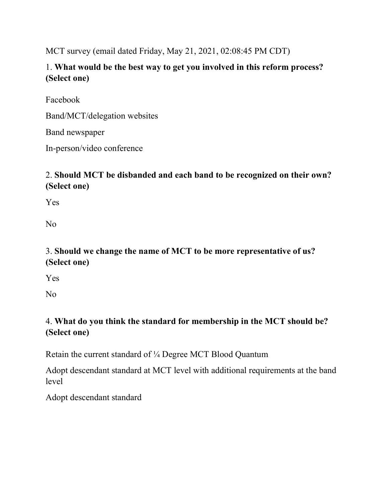MCT survey (email dated Friday, May 21, 2021, 02:08:45 PM CDT)

1. What would be the best way to get you involved in this reform process? (Select one)

Facebook

Band/MCT/delegation websites

Band newspaper

In-person/video conference

# 2. Should MCT be disbanded and each band to be recognized on their own? (Select one)

Yes

No

# 3. Should we change the name of MCT to be more representative of us? (Select one)

Yes

No

# 4. What do you think the standard for membership in the MCT should be? (Select one)

Retain the current standard of ¼ Degree MCT Blood Quantum

Adopt descendant standard at MCT level with additional requirements at the band level

Adopt descendant standard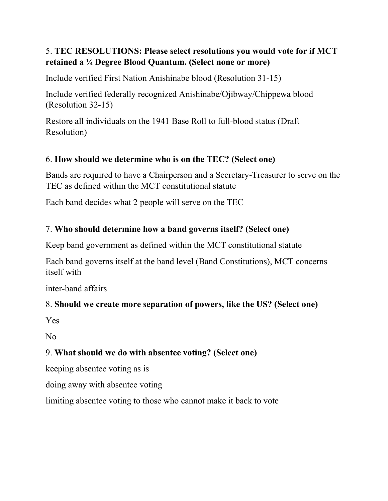## 5. TEC RESOLUTIONS: Please select resolutions you would vote for if MCT retained a ¼ Degree Blood Quantum. (Select none or more)

Include verified First Nation Anishinabe blood (Resolution 31-15)

Include verified federally recognized Anishinabe/Ojibway/Chippewa blood (Resolution 32-15)

Restore all individuals on the 1941 Base Roll to full-blood status (Draft Resolution)

## 6. How should we determine who is on the TEC? (Select one)

Bands are required to have a Chairperson and a Secretary-Treasurer to serve on the TEC as defined within the MCT constitutional statute

Each band decides what 2 people will serve on the TEC

### 7. Who should determine how a band governs itself? (Select one)

Keep band government as defined within the MCT constitutional statute

Each band governs itself at the band level (Band Constitutions), MCT concerns itself with

inter-band affairs

### 8. Should we create more separation of powers, like the US? (Select one)

Yes

No

### 9. What should we do with absentee voting? (Select one)

keeping absentee voting as is

doing away with absentee voting

limiting absentee voting to those who cannot make it back to vote